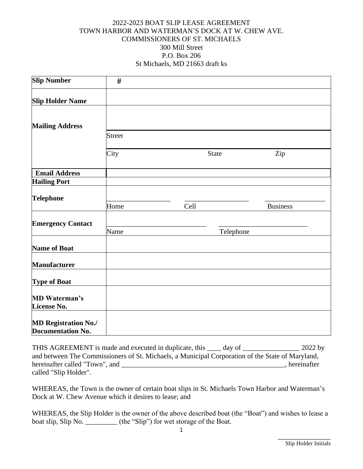## 2022-2023 BOAT SLIP LEASE AGREEMENT TOWN HARBOR AND WATERMAN'S DOCK AT W. CHEW AVE. COMMISSIONERS OF ST. MICHAELS 300 Mill Street P.O. Box 206 St Michaels, MD 21663 draft ks

| <b>Slip Number</b>                                      | #             |              |                 |
|---------------------------------------------------------|---------------|--------------|-----------------|
| <b>Slip Holder Name</b>                                 |               |              |                 |
| <b>Mailing Address</b>                                  |               |              |                 |
|                                                         | <b>Street</b> |              |                 |
|                                                         | City          | <b>State</b> | Zip             |
| <b>Email Address</b>                                    |               |              |                 |
| <b>Hailing Port</b>                                     |               |              |                 |
| <b>Telephone</b>                                        |               |              |                 |
|                                                         | Home          | Cell         | <b>Business</b> |
| <b>Emergency Contact</b>                                |               |              |                 |
|                                                         | Name          | Telephone    |                 |
| <b>Name of Boat</b>                                     |               |              |                 |
| <b>Manufacturer</b>                                     |               |              |                 |
| <b>Type of Boat</b>                                     |               |              |                 |
| <b>MD Waterman's</b><br>License No.                     |               |              |                 |
|                                                         |               |              |                 |
| <b>MD Registration No./</b><br><b>Documentation No.</b> |               |              |                 |

THIS AGREEMENT is made and executed in duplicate, this \_\_\_\_ day of \_\_\_\_\_\_\_\_\_\_\_\_\_\_\_\_ 2022 by and between The Commissioners of St. Michaels, a Municipal Corporation of the State of Maryland, hereinafter called "Town", and \_\_\_\_\_\_\_\_\_\_\_\_\_\_\_\_\_\_\_\_\_\_\_\_\_\_\_\_\_\_\_\_\_\_\_\_\_\_\_\_\_\_\_\_\_\_, hereinafter called "Slip Holder".

WHEREAS, the Town is the owner of certain boat slips in St. Michaels Town Harbor and Waterman's Dock at W. Chew Avenue which it desires to lease; and

WHEREAS, the Slip Holder is the owner of the above described boat (the "Boat") and wishes to lease a boat slip, Slip No. \_\_\_\_\_\_\_\_\_ (the "Slip") for wet storage of the Boat.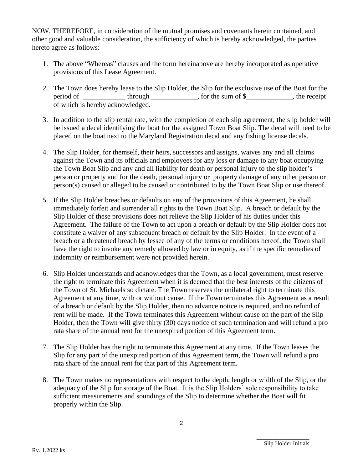NOW, THEREFORE, in consideration of the mutual promises and covenants herein contained, and other good and valuable consideration, the sufficiency of which is hereby acknowledged, the parties hereto agree as follows:

- 1. The above "Whereas" clauses and the form hereinabove are hereby incorporated as operative provisions of this Lease Agreement.
- 2. The Town does hereby lease to the Slip Holder, the Slip for the exclusive use of the Boat for the period of \_\_\_\_\_\_\_\_\_\_\_\_\_\_ through \_\_\_\_\_\_\_\_\_\_\_\_, for the sum of \$\_\_\_\_\_\_\_\_\_\_\_, the receipt of which is hereby acknowledged.
- 3. In addition to the slip rental rate, with the completion of each slip agreement, the slip holder will be issued a decal identifying the boat for the assigned Town Boat Slip. The decal will need to be placed on the boat next to the Maryland Registration decal and any fishing license decals.
- 4. The Slip Holder, for themself, their heirs, successors and assigns, waives any and all claims against the Town and its officials and employees for any loss or damage to any boat occupying the Town Boat Slip and any and all liability for death or personal injury to the slip holder's person or property and for the death, personal injury or property damage of any other person or person(s) caused or alleged to be caused or contributed to by the Town Boat Slip or use thereof.
- 5. If the Slip Holder breaches or defaults on any of the provisions of this Agreement, he shall immediately forfeit and surrender all rights to the Town Boat Slip. A breach or default by the Slip Holder of these provisions does not relieve the Slip Holder of his duties under this Agreement. The failure of the Town to act upon a breach or default by the Slip Holder does not constitute a waiver of any subsequent breach or default by the Slip Holder. In the event of a breach or a threatened breach by lessee of any of the terms or conditions hereof, the Town shall have the right to invoke any remedy allowed by law or in equity, as if the specific remedies of indemnity or reimbursement were not provided herein.
- 6. Slip Holder understands and acknowledges that the Town, as a local government, must reserve the right to terminate this Agreement when it is deemed that the best interests of the citizens of the Town of St. Michaels so dictate. The Town reserves the unilateral right to terminate this Agreement at any time, with or without cause. If the Town terminates this Agreement as a result of a breach or default by the Slip Holder, then no advance notice is required, and no refund of rent will be made. If the Town terminates this Agreement without cause on the part of the Slip Holder, then the Town will give thirty (30) days notice of such termination and will refund a pro rata share of the annual rent for the unexpired portion of this Agreement term.
- 7. The Slip Holder has the right to terminate this Agreement at any time. If the Town leases the Slip for any part of the unexpired portion of this Agreement term, the Town will refund a pro rata share of the annual rent for that part of this Agreement term.
- 8. The Town makes no representations with respect to the depth, length or width of the Slip, or the adequacy of the Slip for storage of the Boat. It is the Slip Holders' sole responsibility to take sufficient measurements and soundings of the Slip to determine whether the Boat will fit properly within the Slip.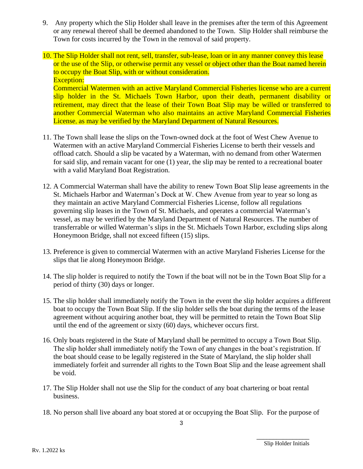- 9. Any property which the Slip Holder shall leave in the premises after the term of this Agreement or any renewal thereof shall be deemed abandoned to the Town. Slip Holder shall reimburse the Town for costs incurred by the Town in the removal of said property.
- 10. The Slip Holder shall not rent, sell, transfer, sub-lease, loan or in any manner convey this lease or the use of the Slip, or otherwise permit any vessel or object other than the Boat named herein to occupy the Boat Slip, with or without consideration. Exception: Commercial Watermen with an active Maryland Commercial Fisheries license who are a current slip holder in the St. Michaels Town Harbor, upon their death, permanent disability or retirement, may direct that the lease of their Town Boat Slip may be willed or transferred to another Commercial Waterman who also maintains an active Maryland Commercial Fisheries
- 11. The Town shall lease the slips on the Town-owned dock at the foot of West Chew Avenue to Watermen with an active Maryland Commercial Fisheries License to berth their vessels and offload catch. Should a slip be vacated by a Waterman, with no demand from other Watermen for said slip, and remain vacant for one (1) year, the slip may be rented to a recreational boater with a valid Maryland Boat Registration.

License, as may be verified by the Maryland Department of Natural Resources.

- 12. A Commercial Waterman shall have the ability to renew Town Boat Slip lease agreements in the St. Michaels Harbor and Waterman's Dock at W. Chew Avenue from year to year so long as they maintain an active Maryland Commercial Fisheries License, follow all regulations governing slip leases in the Town of St. Michaels, and operates a commercial Waterman's vessel, as may be verified by the Maryland Department of Natural Resources. The number of transferrable or willed Waterman's slips in the St. Michaels Town Harbor, excluding slips along Honeymoon Bridge, shall not exceed fifteen (15) slips.
- 13. Preference is given to commercial Watermen with an active Maryland Fisheries License for the slips that lie along Honeymoon Bridge.
- 14. The slip holder is required to notify the Town if the boat will not be in the Town Boat Slip for a period of thirty (30) days or longer.
- 15. The slip holder shall immediately notify the Town in the event the slip holder acquires a different boat to occupy the Town Boat Slip. If the slip holder sells the boat during the terms of the lease agreement without acquiring another boat, they will be permitted to retain the Town Boat Slip until the end of the agreement or sixty (60) days, whichever occurs first.
- 16. Only boats registered in the State of Maryland shall be permitted to occupy a Town Boat Slip. The slip holder shall immediately notify the Town of any changes in the boat's registration. If the boat should cease to be legally registered in the State of Maryland, the slip holder shall immediately forfeit and surrender all rights to the Town Boat Slip and the lease agreement shall be void.
- 17. The Slip Holder shall not use the Slip for the conduct of any boat chartering or boat rental business.
- 18. No person shall live aboard any boat stored at or occupying the Boat Slip. For the purpose of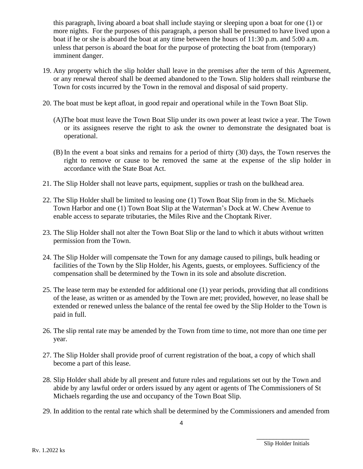this paragraph, living aboard a boat shall include staying or sleeping upon a boat for one (1) or more nights. For the purposes of this paragraph, a person shall be presumed to have lived upon a boat if he or she is aboard the boat at any time between the hours of 11:30 p.m. and 5:00 a.m. unless that person is aboard the boat for the purpose of protecting the boat from (temporary) imminent danger.

- 19. Any property which the slip holder shall leave in the premises after the term of this Agreement, or any renewal thereof shall be deemed abandoned to the Town. Slip holders shall reimburse the Town for costs incurred by the Town in the removal and disposal of said property.
- 20. The boat must be kept afloat, in good repair and operational while in the Town Boat Slip.
	- (A)The boat must leave the Town Boat Slip under its own power at least twice a year. The Town or its assignees reserve the right to ask the owner to demonstrate the designated boat is operational.
	- (B) In the event a boat sinks and remains for a period of thirty (30) days, the Town reserves the right to remove or cause to be removed the same at the expense of the slip holder in accordance with the State Boat Act.
- 21. The Slip Holder shall not leave parts, equipment, supplies or trash on the bulkhead area.
- 22. The Slip Holder shall be limited to leasing one (1) Town Boat Slip from in the St. Michaels Town Harbor and one (1) Town Boat Slip at the Waterman's Dock at W. Chew Avenue to enable access to separate tributaries, the Miles Rive and the Choptank River.
- 23. The Slip Holder shall not alter the Town Boat Slip or the land to which it abuts without written permission from the Town.
- 24. The Slip Holder will compensate the Town for any damage caused to pilings, bulk heading or facilities of the Town by the Slip Holder, his Agents, guests, or employees. Sufficiency of the compensation shall be determined by the Town in its sole and absolute discretion.
- 25. The lease term may be extended for additional one (1) year periods, providing that all conditions of the lease, as written or as amended by the Town are met; provided, however, no lease shall be extended or renewed unless the balance of the rental fee owed by the Slip Holder to the Town is paid in full.
- 26. The slip rental rate may be amended by the Town from time to time, not more than one time per year.
- 27. The Slip Holder shall provide proof of current registration of the boat, a copy of which shall become a part of this lease.
- 28. Slip Holder shall abide by all present and future rules and regulations set out by the Town and abide by any lawful order or orders issued by any agent or agents of The Commissioners of St Michaels regarding the use and occupancy of the Town Boat Slip.
- 29. In addition to the rental rate which shall be determined by the Commissioners and amended from